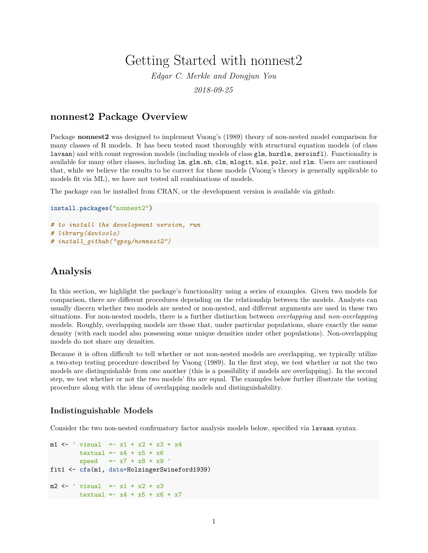# Getting Started with nonnest2

*Edgar C. Merkle and Dongjun You 2018-09-25*

### **nonnest2 Package Overview**

Package **nonnest2** was designed to implement Vuong's (1989) theory of non-nested model comparison for many classes of R models. It has been tested most thoroughly with structural equation models (of class lavaan) and with count regression models (including models of class glm, hurdle, zeroinfl). Functionality is available for many other classes, including lm, glm.nb, clm, mlogit, nls, polr, and rlm. Users are cautioned that, while we believe the results to be correct for these models (Vuong's theory is generally applicable to models fit via ML), we have not tested all combinations of models.

The package can be installed from [CRAN,](https://cran.r-project.org/package=nonnest2) or the development version is available via github:

```
install.packages("nonnest2")
# to install the development version, run
# library(devtools)
# install_github("qpsy/nonnest2")
```
## **Analysis**

In this section, we highlight the package's functionality using a series of examples. Given two models for comparison, there are different procedures depending on the relationship between the models. Analysts can usually discern whether two models are nested or non-nested, and different arguments are used in these two situations. For non-nested models, there is a further distinction between *overlapping* and *non-overlapping* models. Roughly, overlapping models are those that, under particular populations, share exactly the same density (with each model also possessing some unique densities under other populations). Non-overlapping models do not share any densities.

Because it is often difficult to tell whether or not non-nested models are overlapping, we typically utilize a two-step testing procedure described by Vuong (1989). In the first step, we test whether or not the two models are distinguishable from one another (this is a possibility if models are overlapping). In the second step, we test whether or not the two models' fits are equal. The examples below further illustrate the testing procedure along with the ideas of overlapping models and distinguishability.

#### **Indistinguishable Models**

Consider the two non-nested confirmatory factor analysis models below, specified via lavaan syntax.

```
m1 <- ' visual = x1 + x2 + x3 + x4textual = x4 + x5 + x6speed =~ x7 + x8 + x9 '
fit1 <- cfa(m1, data=HolzingerSwineford1939)
m2 <- ' visual = x1 + x2 + x3textual = x4 + x5 + x6 + x7
```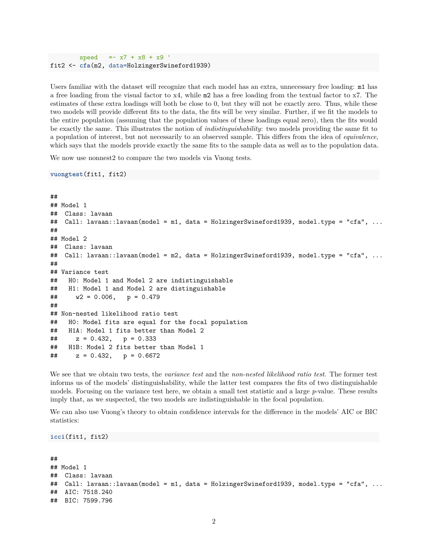$speed = x7 + x8 + x9$ fit2 <- **cfa**(m2, data=HolzingerSwineford1939)

Users familiar with the dataset will recognize that each model has an extra, unnecessary free loading: m1 has a free loading from the visual factor to x4, while m2 has a free loading from the textual factor to x7. The estimates of these extra loadings will both be close to 0, but they will not be exactly zero. Thus, while these two models will provide different fits to the data, the fits will be very similar. Further, if we fit the models to the entire population (assuming that the population values of these loadings equal zero), then the fits would be exactly the same. This illustrates the notion of *indistinguishability*: two models providing the same fit to a population of interest, but not necessarily to an observed sample. This differs from the idea of *equivalence*, which says that the models provide exactly the same fits to the sample data as well as to the population data.

We now use nonnest2 to compare the two models via Vuong tests.

**vuongtest**(fit1, fit2)

```
##
## Model 1
## Class: lavaan
## Call: lavaan::lavaan(model = m1, data = HolzingerSwineford1939, model.type = "cfa", ...
##
## Model 2
## Class: lavaan
## Call: lavaan::lavaan(model = m2, data = HolzingerSwineford1939, model.type = "cfa", ...
##
## Variance test
## H0: Model 1 and Model 2 are indistinguishable
## H1: Model 1 and Model 2 are distinguishable
\# \# \# \sqrt{2} = 0.006, p = 0.479
##
## Non-nested likelihood ratio test
## H0: Model fits are equal for the focal population
## H1A: Model 1 fits better than Model 2
\# z = 0.432, p = 0.333## H1B: Model 2 fits better than Model 1
\# z = 0.432, p = 0.6672
```
We see that we obtain two tests, the *variance test* and the *non-nested likelihood ratio test*. The former test informs us of the models' distinguishability, while the latter test compares the fits of two distinguishable models. Focusing on the variance test here, we obtain a small test statistic and a large *p*-value. These results imply that, as we suspected, the two models are indistinguishable in the focal population.

We can also use Vuong's theory to obtain confidence intervals for the difference in the models' AIC or BIC statistics:

**icci**(fit1, fit2)

```
##
## Model 1
## Class: lavaan
## Call: lavaan::lavaan(model = m1, data = HolzingerSwineford1939, model.type = "cfa", ...
## AIC: 7518.240
## BIC: 7599.796
```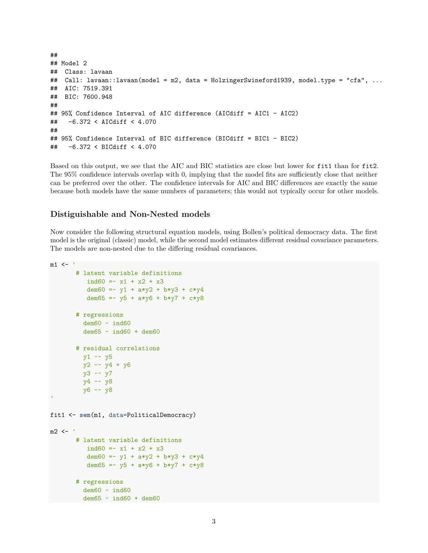```
##
## Model 2
## Class: lavaan
## Call: lavaan::lavaan(model = m2, data = HolzingerSwineford1939, model.type = "cfa", ...
## AIC: 7519.391
## BIC: 7600.948
##
## 95% Confidence Interval of AIC difference (AICdiff = AIC1 - AIC2)
## -6.372 < AICdiff < 4.070
##
## 95% Confidence Interval of BIC difference (BICdiff = BIC1 - BIC2)
## -6.372 < BICdiff < 4.070
```
Based on this output, we see that the AIC and BIC statistics are close but lower for fit1 than for fit2. The 95% confidence intervals overlap with 0, implying that the model fits are sufficiently close that neither can be preferred over the other. The confidence intervals for AIC and BIC differences are exactly the same because both models have the same numbers of parameters; this would not typically occur for other models.

#### **Distiguishable and Non-Nested models**

Now consider the following structural equation models, using Bollen's political democracy data. The first model is the original (classic) model, while the second model estimates different residual covariance parameters. The models are non-nested due to the differing residual covariances.

```
m1 <- '
       # latent variable definitions
         ind60 = x1 + x2 + x3dem60 = -y1 + a*y2 + b*y3 + c*y4dem65 = -y5 + a*y6 + b*y7 + c*y8# regressions
         dem60 ~ ind60
         dem65 ~ ind60 + dem60
       # residual correlations
        y1 ~~ y5
        y2 ~~ y4 + y6
        y3 ~~ y7
        y4 ~~ y8
        y6 ~~ y8
'fit1 <- sem(m1, data=PoliticalDemocracy)
m2 < -# latent variable definitions
         ind60 = x1 + x2 + x3dem60 = -y1 + a*y2 + b*y3 + c*y4dem65 = -y5 + a*y6 + b*y7 + c*y8# regressions
         dem60 ~ ind60
        dem65 ~ ind60 + dem60
```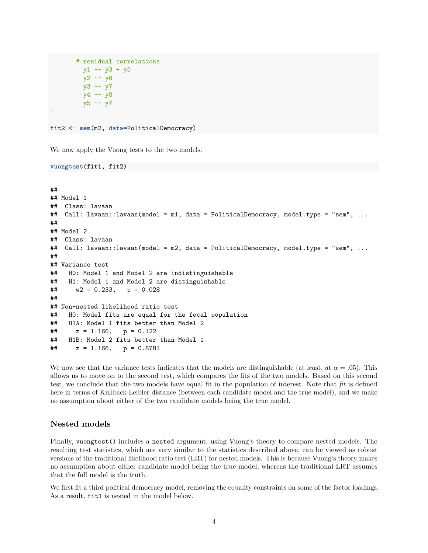```
# residual correlations
 y1 \sim y3 + y5y2 \sim y6y3 ~~ y7
 y4 ~~ y8
 y5 ~~ y7
```
fit2 <- **sem**(m2, data=PoliticalDemocracy)

We now apply the Vuong tests to the two models.

**vuongtest**(fit1, fit2)

```
##
## Model 1
## Class: lavaan
## Call: lavaan::lavaan(model = m1, data = PoliticalDemocracy, model.type = "sem", ...
##
## Model 2
## Class: lavaan
## Call: lavaan::lavaan(model = m2, data = PoliticalDemocracy, model.type = "sem", ...
##
## Variance test
## H0: Model 1 and Model 2 are indistinguishable
## H1: Model 1 and Model 2 are distinguishable
\# \# \# \sqrt{2} = 0.233, \sqrt{2} = 0.028
##
## Non-nested likelihood ratio test
## H0: Model fits are equal for the focal population
## H1A: Model 1 fits better than Model 2
\# z = 1.166, p = 0.122
## H1B: Model 2 fits better than Model 1
\# z = 1.166, p = 0.8781
```
We now see that the variance tests indicates that the models are distinguishable (at least, at  $\alpha = .05$ ). This allows us to move on to the second test, which compares the fits of the two models. Based on this second test, we conclude that the two models have equal fit in the population of interest. Note that *fit* is defined here in terms of Kullback-Leibler distance (between each candidate model and the true model), and we make no assumption about either of the two candidate models being the true model.

#### **Nested models**

Finally, vuongtest() includes a nested argument, using Vuong's theory to compare nested models. The resulting test statistics, which are very similar to the statistics described above, can be viewed as robust versions of the traditional likelihood ratio test (LRT) for nested models. This is because Vuong's theory makes no assumption about either candidate model being the true model, whereas the traditional LRT assumes that the full model is the truth.

We first fit a third political democracy model, removing the equality constraints on some of the factor loadings. As a result, fit1 is nested in the model below.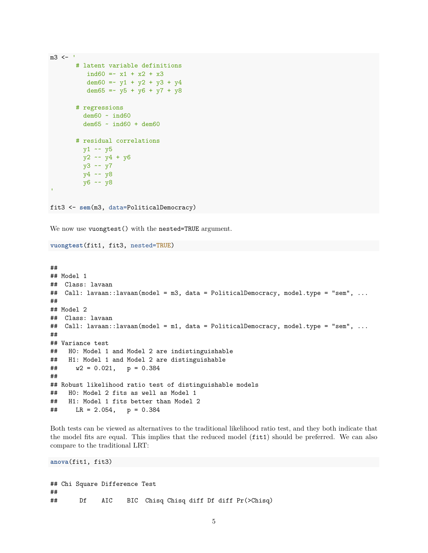```
m3 <- '# latent variable definitions
          ind60 = x1 + x2 + x3dem60 = -y1 + y2 + y3 + y4dem65 =  v5 + v6 + v7 + v8# regressions
         dem60 ~ ind60
         dem65 ~ ind60 + dem60
       # residual correlations
        y1 \sim y5y2 ~~ y4 + y6
        y3 ~~ y7
        y4 ~~ y8
        y6 ~~ y8
'fit3 <- sem(m3, data=PoliticalDemocracy)
```
We now use vuongtest() with the nested=TRUE argument.

```
vuongtest(fit1, fit3, nested=TRUE)
```

```
##
## Model 1
## Class: lavaan
## Call: lavaan::lavaan(model = m3, data = PoliticalDemocracy, model.type = "sem", ...
##
## Model 2
## Class: lavaan
## Call: lavaan::lavaan(model = m1, data = PoliticalDemocracy, model.type = "sem", ...
##
## Variance test
## H0: Model 1 and Model 2 are indistinguishable
## H1: Model 1 and Model 2 are distinguishable
\# w2 = 0.021, p = 0.384##
## Robust likelihood ratio test of distinguishable models
## H0: Model 2 fits as well as Model 1
## H1: Model 1 fits better than Model 2
## LR = 2.054, p = 0.384
```
Both tests can be viewed as alternatives to the traditional likelihood ratio test, and they both indicate that the model fits are equal. This implies that the reduced model (fit1) should be preferred. We can also compare to the traditional LRT:

**anova**(fit1, fit3)

## Chi Square Difference Test ## ## Df AIC BIC Chisq Chisq diff Df diff Pr(>Chisq)